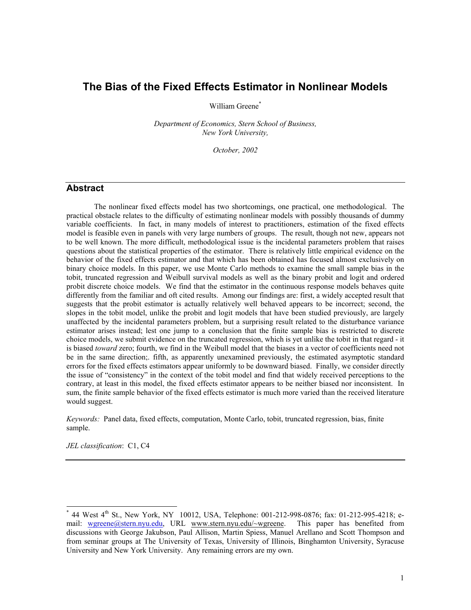# **The Bias of the Fixed Effects Estimator in Nonlinear Models**

William Greene<sup>[\\*](#page-0-0)</sup>

*Department of Economics, Stern School of Business, New York University,* 

*October, 2002* 

### **Abstract**

The nonlinear fixed effects model has two shortcomings, one practical, one methodological. The practical obstacle relates to the difficulty of estimating nonlinear models with possibly thousands of dummy variable coefficients. In fact, in many models of interest to practitioners, estimation of the fixed effects model is feasible even in panels with very large numbers of groups. The result, though not new, appears not to be well known. The more difficult, methodological issue is the incidental parameters problem that raises questions about the statistical properties of the estimator. There is relatively little empirical evidence on the behavior of the fixed effects estimator and that which has been obtained has focused almost exclusively on binary choice models. In this paper, we use Monte Carlo methods to examine the small sample bias in the tobit, truncated regression and Weibull survival models as well as the binary probit and logit and ordered probit discrete choice models. We find that the estimator in the continuous response models behaves quite differently from the familiar and oft cited results. Among our findings are: first, a widely accepted result that suggests that the probit estimator is actually relatively well behaved appears to be incorrect; second, the slopes in the tobit model, unlike the probit and logit models that have been studied previously, are largely unaffected by the incidental parameters problem, but a surprising result related to the disturbance variance estimator arises instead; lest one jump to a conclusion that the finite sample bias is restricted to discrete choice models, we submit evidence on the truncated regression, which is yet unlike the tobit in that regard - it is biased *toward* zero; fourth, we find in the Weibull model that the biases in a vector of coefficients need not be in the same direction;. fifth, as apparently unexamined previously, the estimated asymptotic standard errors for the fixed effects estimators appear uniformly to be downward biased. Finally, we consider directly the issue of "consistency" in the context of the tobit model and find that widely received perceptions to the contrary, at least in this model, the fixed effects estimator appears to be neither biased nor inconsistent. In sum, the finite sample behavior of the fixed effects estimator is much more varied than the received literature would suggest.

*Keywords:* Panel data, fixed effects, computation, Monte Carlo, tobit, truncated regression, bias, finite sample.

*JEL classification*: C1, C4

l

<span id="page-0-0"></span> $*$  44 West 4<sup>th</sup> St., New York, NY 10012, USA, Telephone: 001-212-998-0876; fax: 01-212-995-4218; email: [wgreene@stern.nyu.edu](mailto:wgreene@stern.nyu.edu), URL www.stern.nyu.edu/~wgreene. This paper has benefited from discussions with George Jakubson, Paul Allison, Martin Spiess, Manuel Arellano and Scott Thompson and from seminar groups at The University of Texas, University of Illinois, Binghamton University, Syracuse University and New York University. Any remaining errors are my own.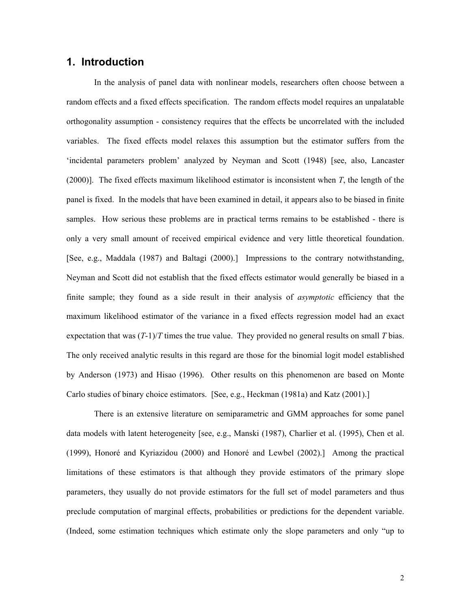# **1. Introduction**

In the analysis of panel data with nonlinear models, researchers often choose between a random effects and a fixed effects specification. The random effects model requires an unpalatable orthogonality assumption - consistency requires that the effects be uncorrelated with the included variables. The fixed effects model relaxes this assumption but the estimator suffers from the 'incidental parameters problem' analyzed by Neyman and Scott (1948) [see, also, Lancaster (2000)]. The fixed effects maximum likelihood estimator is inconsistent when *T*, the length of the panel is fixed. In the models that have been examined in detail, it appears also to be biased in finite samples. How serious these problems are in practical terms remains to be established - there is only a very small amount of received empirical evidence and very little theoretical foundation. [See, e.g., Maddala (1987) and Baltagi (2000).] Impressions to the contrary notwithstanding, Neyman and Scott did not establish that the fixed effects estimator would generally be biased in a finite sample; they found as a side result in their analysis of *asymptotic* efficiency that the maximum likelihood estimator of the variance in a fixed effects regression model had an exact expectation that was (*T*-1)/*T* times the true value. They provided no general results on small *T* bias. The only received analytic results in this regard are those for the binomial logit model established by Anderson (1973) and Hisao (1996). Other results on this phenomenon are based on Monte Carlo studies of binary choice estimators. [See, e.g., Heckman (1981a) and Katz (2001).]

There is an extensive literature on semiparametric and GMM approaches for some panel data models with latent heterogeneity [see, e.g., Manski (1987), Charlier et al. (1995), Chen et al. (1999), Honoré and Kyriazidou (2000) and Honoré and Lewbel (2002).] Among the practical limitations of these estimators is that although they provide estimators of the primary slope parameters, they usually do not provide estimators for the full set of model parameters and thus preclude computation of marginal effects, probabilities or predictions for the dependent variable. (Indeed, some estimation techniques which estimate only the slope parameters and only "up to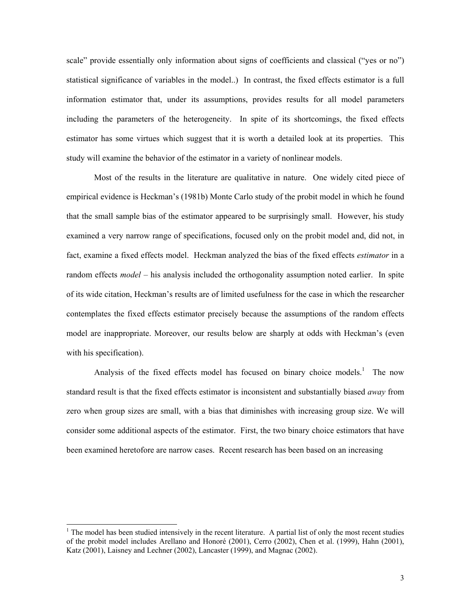scale" provide essentially only information about signs of coefficients and classical ("yes or no") statistical significance of variables in the model..) In contrast, the fixed effects estimator is a full information estimator that, under its assumptions, provides results for all model parameters including the parameters of the heterogeneity. In spite of its shortcomings, the fixed effects estimator has some virtues which suggest that it is worth a detailed look at its properties. This study will examine the behavior of the estimator in a variety of nonlinear models.

Most of the results in the literature are qualitative in nature. One widely cited piece of empirical evidence is Heckman's (1981b) Monte Carlo study of the probit model in which he found that the small sample bias of the estimator appeared to be surprisingly small. However, his study examined a very narrow range of specifications, focused only on the probit model and, did not, in fact, examine a fixed effects model. Heckman analyzed the bias of the fixed effects *estimator* in a random effects *model* – his analysis included the orthogonality assumption noted earlier. In spite of its wide citation, Heckman's results are of limited usefulness for the case in which the researcher contemplates the fixed effects estimator precisely because the assumptions of the random effects model are inappropriate. Moreover, our results below are sharply at odds with Heckman's (even with his specification).

Analysisof the fixed effects model has focused on binary choice models.<sup>1</sup> The now standard result is that the fixed effects estimator is inconsistent and substantially biased *away* from zero when group sizes are small, with a bias that diminishes with increasing group size. We will consider some additional aspects of the estimator. First, the two binary choice estimators that have been examined heretofore are narrow cases. Recent research has been based on an increasing

l

<span id="page-2-0"></span> $<sup>1</sup>$  The model has been studied intensively in the recent literature. A partial list of only the most recent studies</sup> of the probit model includes Arellano and Honoré (2001), Cerro (2002), Chen et al. (1999), Hahn (2001), Katz (2001), Laisney and Lechner (2002), Lancaster (1999), and Magnac (2002).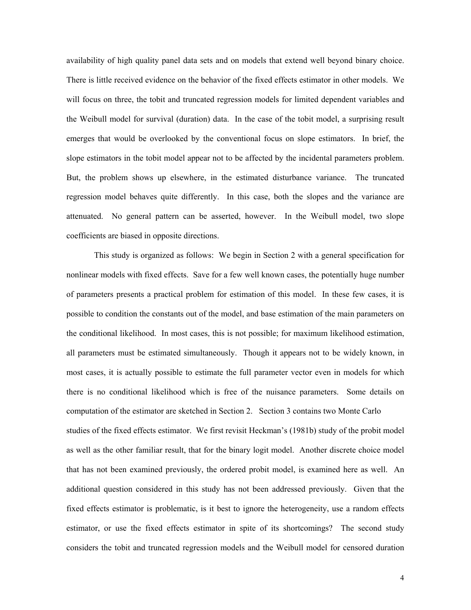availability of high quality panel data sets and on models that extend well beyond binary choice. There is little received evidence on the behavior of the fixed effects estimator in other models. We will focus on three, the tobit and truncated regression models for limited dependent variables and the Weibull model for survival (duration) data. In the case of the tobit model, a surprising result emerges that would be overlooked by the conventional focus on slope estimators. In brief, the slope estimators in the tobit model appear not to be affected by the incidental parameters problem. But, the problem shows up elsewhere, in the estimated disturbance variance. The truncated regression model behaves quite differently. In this case, both the slopes and the variance are attenuated. No general pattern can be asserted, however. In the Weibull model, two slope coefficients are biased in opposite directions.

This study is organized as follows: We begin in Section 2 with a general specification for nonlinear models with fixed effects. Save for a few well known cases, the potentially huge number of parameters presents a practical problem for estimation of this model. In these few cases, it is possible to condition the constants out of the model, and base estimation of the main parameters on the conditional likelihood. In most cases, this is not possible; for maximum likelihood estimation, all parameters must be estimated simultaneously. Though it appears not to be widely known, in most cases, it is actually possible to estimate the full parameter vector even in models for which there is no conditional likelihood which is free of the nuisance parameters. Some details on computation of the estimator are sketched in Section 2. Section 3 contains two Monte Carlo studies of the fixed effects estimator. We first revisit Heckman's (1981b) study of the probit model as well as the other familiar result, that for the binary logit model. Another discrete choice model that has not been examined previously, the ordered probit model, is examined here as well. An additional question considered in this study has not been addressed previously. Given that the fixed effects estimator is problematic, is it best to ignore the heterogeneity, use a random effects estimator, or use the fixed effects estimator in spite of its shortcomings? The second study considers the tobit and truncated regression models and the Weibull model for censored duration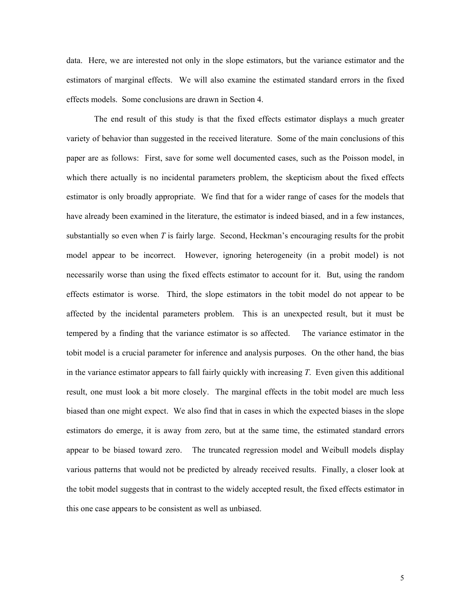data. Here, we are interested not only in the slope estimators, but the variance estimator and the estimators of marginal effects. We will also examine the estimated standard errors in the fixed effects models. Some conclusions are drawn in Section 4.

The end result of this study is that the fixed effects estimator displays a much greater variety of behavior than suggested in the received literature. Some of the main conclusions of this paper are as follows: First, save for some well documented cases, such as the Poisson model, in which there actually is no incidental parameters problem, the skepticism about the fixed effects estimator is only broadly appropriate. We find that for a wider range of cases for the models that have already been examined in the literature, the estimator is indeed biased, and in a few instances, substantially so even when *T* is fairly large. Second, Heckman's encouraging results for the probit model appear to be incorrect. However, ignoring heterogeneity (in a probit model) is not necessarily worse than using the fixed effects estimator to account for it. But, using the random effects estimator is worse. Third, the slope estimators in the tobit model do not appear to be affected by the incidental parameters problem. This is an unexpected result, but it must be tempered by a finding that the variance estimator is so affected. The variance estimator in the tobit model is a crucial parameter for inference and analysis purposes. On the other hand, the bias in the variance estimator appears to fall fairly quickly with increasing *T*. Even given this additional result, one must look a bit more closely. The marginal effects in the tobit model are much less biased than one might expect. We also find that in cases in which the expected biases in the slope estimators do emerge, it is away from zero, but at the same time, the estimated standard errors appear to be biased toward zero. The truncated regression model and Weibull models display various patterns that would not be predicted by already received results. Finally, a closer look at the tobit model suggests that in contrast to the widely accepted result, the fixed effects estimator in this one case appears to be consistent as well as unbiased.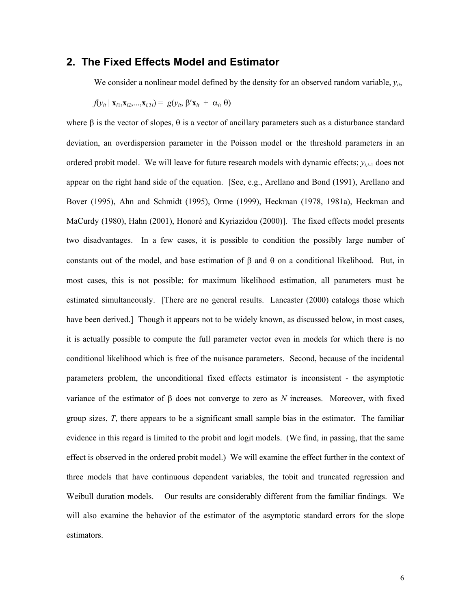### **2. The Fixed Effects Model and Estimator**

We consider a nonlinear model defined by the density for an observed random variable,  $y_{ij}$ ,

$$
f(y_{it} | \mathbf{x}_{i1}, \mathbf{x}_{i2}, \dots, \mathbf{x}_{i,Ti}) = g(y_{it}, \beta' \mathbf{x}_{it} + \alpha_i, \theta)
$$

where  $\beta$  is the vector of slopes,  $\theta$  is a vector of ancillary parameters such as a disturbance standard deviation, an overdispersion parameter in the Poisson model or the threshold parameters in an ordered probit model. We will leave for future research models with dynamic effects;  $y_{i,t-1}$  does not appear on the right hand side of the equation. [See, e.g., Arellano and Bond (1991), Arellano and Bover (1995), Ahn and Schmidt (1995), Orme (1999), Heckman (1978, 1981a), Heckman and MaCurdy (1980), Hahn (2001), Honoré and Kyriazidou (2000)]. The fixed effects model presents two disadvantages. In a few cases, it is possible to condition the possibly large number of constants out of the model, and base estimation of β and θ on a conditional likelihood. But, in most cases, this is not possible; for maximum likelihood estimation, all parameters must be estimated simultaneously. [There are no general results. Lancaster (2000) catalogs those which have been derived.] Though it appears not to be widely known, as discussed below, in most cases, it is actually possible to compute the full parameter vector even in models for which there is no conditional likelihood which is free of the nuisance parameters. Second, because of the incidental parameters problem, the unconditional fixed effects estimator is inconsistent - the asymptotic variance of the estimator of β does not converge to zero as *N* increases. Moreover, with fixed group sizes, *T*, there appears to be a significant small sample bias in the estimator. The familiar evidence in this regard is limited to the probit and logit models. (We find, in passing, that the same effect is observed in the ordered probit model.) We will examine the effect further in the context of three models that have continuous dependent variables, the tobit and truncated regression and Weibull duration models. Our results are considerably different from the familiar findings. We will also examine the behavior of the estimator of the asymptotic standard errors for the slope estimators.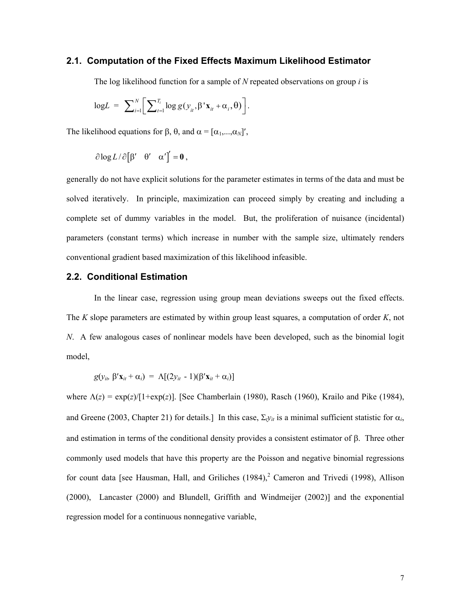#### **2.1. Computation of the Fixed Effects Maximum Likelihood Estimator**

The log likelihood function for a sample of *N* repeated observations on group *i* is

$$
\text{log}L = \sum_{i=1}^{N} \bigg[ \sum_{t=1}^{T_i} \log g(y_{it}, \beta' \mathbf{x}_{it} + \alpha_i, \theta) \bigg].
$$

The likelihood equations for  $\beta$ ,  $\theta$ , and  $\alpha = [\alpha_1, \dots, \alpha_N]'$ ,

$$
\partial \log L / \partial [\beta' \quad \theta' \quad \alpha'] = 0 ,
$$

generally do not have explicit solutions for the parameter estimates in terms of the data and must be solved iteratively. In principle, maximization can proceed simply by creating and including a complete set of dummy variables in the model. But, the proliferation of nuisance (incidental) parameters (constant terms) which increase in number with the sample size, ultimately renders conventional gradient based maximization of this likelihood infeasible.

### **2.2. Conditional Estimation**

In the linear case, regression using group mean deviations sweeps out the fixed effects. The *K* slope parameters are estimated by within group least squares, a computation of order *K*, not *N*. A few analogous cases of nonlinear models have been developed, such as the binomial logit model,

$$
g(y_{it}, \beta' \mathbf{x}_{it} + \alpha_i) = \Lambda[(2y_{it} - 1)(\beta' \mathbf{x}_{it} + \alpha_i)]
$$

<span id="page-6-0"></span>where Λ(*z*) = exp(*z*)/[1+exp(*z*)]. [See Chamberlain (1980), Rasch (1960), Krailo and Pike (1984), and Greene (2003, Chapter 21) for details.] In this case,  $\Sigma_{v}$ <sub>*it*</sub> is a minimal sufficient statistic for  $\alpha_i$ , and estimation in terms of the conditional density provides a consistent estimator of β. Three other commonly used models that have this property are the Poisson and negative binomial regressions forcount data [see Hausman, Hall, and Griliches  $(1984)$ , Cameron and Trivedi (1998), Allison (2000), Lancaster (2000) and Blundell, Griffith and Windmeijer (2002)] and the exponential regression model for a continuous nonnegative variable,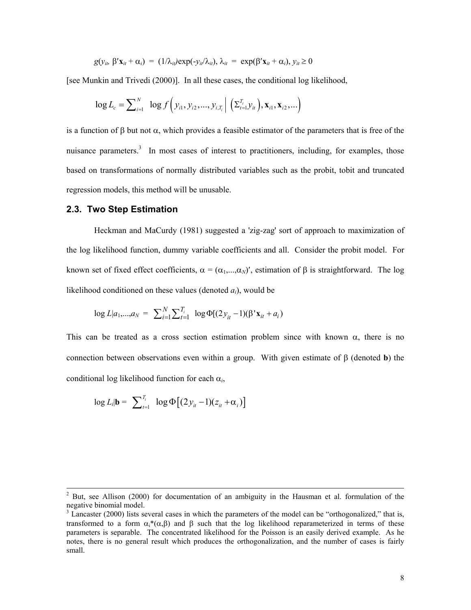$$
g(y_{it}, \beta' \mathbf{x}_{it} + \alpha_i) = (1/\lambda_{it}) \exp(-y_{it}/\lambda_{it}), \lambda_{it} = \exp(\beta' \mathbf{x}_{it} + \alpha_i), y_{it} \ge 0
$$

[see Munkin and Trivedi (2000)]. In all these cases, the conditional log likelihood,

$$
\log L_c = \sum_{i=1}^{N} \log f\left(y_{i1}, y_{i2}, \ldots, y_{i,T_i} \mid \left(\Sigma_{t=1}^{T_i} y_{it}\right), \mathbf{x}_{i1}, \mathbf{x}_{i2}, \ldots\right)
$$

is a function of β but not  $\alpha$ , which provides a feasible estimator of the parameters that is free of the nuisance parameters.<sup>[3](#page-7-0)</sup> In most cases of interest to practitioners, including, for examples, those based on transformations of normally distributed variables such as the probit, tobit and truncated regression models, this method will be unusable.

#### **2.3. Two Step Estimation**

l

Heckman and MaCurdy (1981) suggested a 'zig-zag' sort of approach to maximization of the log likelihood function, dummy variable coefficients and all. Consider the probit model. For known set of fixed effect coefficients,  $\alpha = (\alpha_1, ..., \alpha_N)'$ , estimation of  $\beta$  is straightforward. The log likelihood conditioned on these values (denoted *ai*), would be

$$
\log L |a_1,...,a_N = \sum_{i=1}^N \sum_{t=1}^{T_i} \log \Phi[(2y_{it} - 1)(\beta' \mathbf{x}_{it} + a_i)]
$$

This can be treated as a cross section estimation problem since with known  $\alpha$ , there is no connection between observations even within a group. With given estimate of β (denoted **b**) the conditional log likelihood function for each α*i*,

$$
\log L_i | \mathbf{b} = \sum_{t=1}^{T_i} \log \Phi \big[ (2y_{it} - 1)(z_{it} + \alpha_i) \big]
$$

 $2^2$  But, see Allison (2000) for documentation of an ambiguity in the Hausman et al. formulation of the negative binomial model. <sup>3</sup>

<span id="page-7-0"></span><sup>&</sup>lt;sup>3</sup> Lancaster (2000) lists several cases in which the parameters of the model can be "orthogonalized," that is, transformed to a form  $\alpha_i^*(\alpha, \beta)$  and β such that the log likelihood reparameterized in terms of these parameters is separable. The concentrated likelihood for the Poisson is an easily derived example. As he notes, there is no general result which produces the orthogonalization, and the number of cases is fairly small.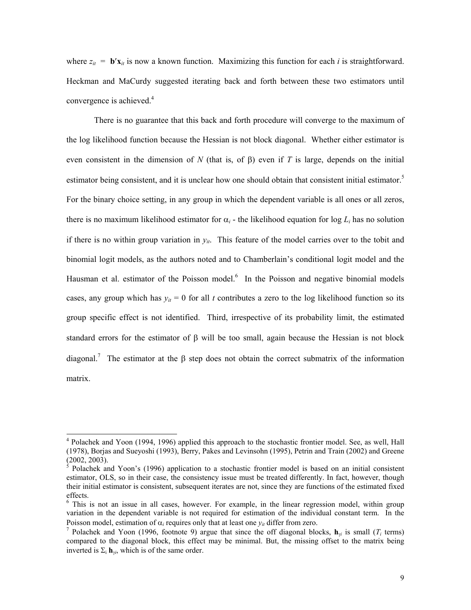where  $z_{it} = \mathbf{b}'\mathbf{x}_{it}$  is now a known function. Maximizing this function for each *i* is straightforward. Heckman and MaCurdy suggested iterating back and forth between these two estimators until convergence is achieved.<sup>[4](#page-8-0)</sup>

There is no guarantee that this back and forth procedure will converge to the maximum of the log likelihood function because the Hessian is not block diagonal. Whether either estimator is even consistent in the dimension of *N* (that is, of β) even if *T* is large, depends on the initial estimator being consistent, and it is unclear how one should obtain that consistent initial estimator.<sup>5</sup> For the binary choice setting, in any group in which the dependent variable is all ones or all zeros, there is no maximum likelihood estimator for  $\alpha_i$  - the likelihood equation for log  $L_i$  has no solution if there is no within group variation in  $y_{it}$ . This feature of the model carries over to the tobit and binomial logit models, as the authors noted and to Chamberlain's conditional logit model and the Hausman et al. estimator of the Poisson model.<sup>[6](#page-8-2)</sup> In the Poisson and negative binomial models cases, any group which has  $y_{it} = 0$  for all *t* contributes a zero to the log likelihood function so its group specific effect is not identified. Third, irrespective of its probability limit, the estimated standard errors for the estimator of  $\beta$  will be too small, again because the Hessian is not block diagonal.<sup>[7](#page-8-3)</sup> The estimator at the  $\beta$  step does not obtain the correct submatrix of the information matrix.

l

<span id="page-8-0"></span><sup>&</sup>lt;sup>4</sup> Polachek and Yoon (1994, 1996) applied this approach to the stochastic frontier model. See, as well, Hall (1978), Borjas and Sueyoshi (1993), Berry, Pakes and Levinsohn (1995), Petrin and Train (2002) and Greene  $(2002, 2003)$ .

<span id="page-8-1"></span><sup>5</sup> Polachek and Yoon's (1996) application to a stochastic frontier model is based on an initial consistent estimator, OLS, so in their case, the consistency issue must be treated differently. In fact, however, though their initial estimator is consistent, subsequent iterates are not, since they are functions of the estimated fixed effects.

<span id="page-8-2"></span><sup>&</sup>lt;sup>6</sup> This is not an issue in all cases, however. For example, in the linear regression model, within group variation in the dependent variable is not required for estimation of the individual constant term. In the Poisson model, estimation of  $\alpha_i$  requires only that at least one  $y_{it}$  differ from zero.<br><sup>7</sup> Polachek and Yoon (1996, footnote 9) argue that since the off diagonal blocks,  $\mathbf{h}_{vi}$  is small (*T<sub>i</sub>* terms)

<span id="page-8-3"></span>compared to the diagonal block, this effect may be minimal. But, the missing offset to the matrix being inverted is  $\Sigma_i$  **h**<sub>γ*i*</sub>, which is of the same order.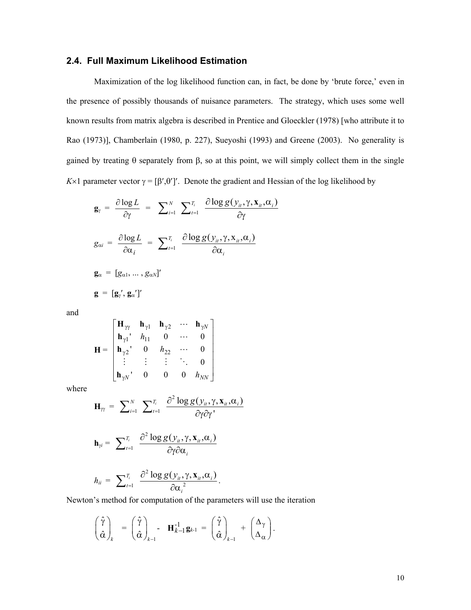### **2.4. Full Maximum Likelihood Estimation**

Maximization of the log likelihood function can, in fact, be done by 'brute force,' even in the presence of possibly thousands of nuisance parameters. The strategy, which uses some well known results from matrix algebra is described in Prentice and Gloeckler (1978) [who attribute it to Rao (1973)], Chamberlain (1980, p. 227), Sueyoshi (1993) and Greene (2003). No generality is gained by treating θ separately from β, so at this point, we will simply collect them in the single *K*×1 parameter vector  $\gamma = [\beta', \theta']'$ . Denote the gradient and Hessian of the log likelihood by

$$
\mathbf{g}_{\gamma} = \frac{\partial \log L}{\partial \gamma} = \sum_{i=1}^{N} \sum_{t=1}^{T_i} \frac{\partial \log g(y_{i\prime}, \gamma, \mathbf{x}_{i\prime}, \alpha_i)}{\partial \gamma}
$$

$$
g_{\alpha i} = \frac{\partial \log L}{\partial \alpha_i} = \sum_{t=1}^{T_i} \frac{\partial \log g(y_{i\prime}, \gamma, \mathbf{x}_{i\prime}, \alpha_i)}{\partial \alpha_i}
$$

$$
\mathbf{g}_{\alpha} = [g_{\alpha 1}, \dots, g_{\alpha N}]'
$$

$$
\mathbf{g} = [g_{\gamma}', g_{\alpha}']'
$$

and

$$
\mathbf{H} = \begin{bmatrix} \mathbf{H}_{\gamma\gamma} & \mathbf{h}_{\gamma1} & \mathbf{h}_{\gamma2} & \cdots & \mathbf{h}_{\gamma N} \\ \mathbf{h}_{\gamma1} & h_{11} & 0 & \cdots & 0 \\ \mathbf{h}_{\gamma2} & 0 & h_{22} & \cdots & 0 \\ \vdots & \vdots & \vdots & \ddots & 0 \\ \mathbf{h}_{\gamma N} & 0 & 0 & 0 & h_{NN} \end{bmatrix}
$$

where

$$
\mathbf{H}_{\gamma\gamma} = \sum_{i=1}^{N} \sum_{t=1}^{T_i} \frac{\partial^2 \log g(y_{it}, \gamma, \mathbf{x}_{it}, \alpha_i)}{\partial \gamma \partial \gamma^{\prime}}
$$

$$
\mathbf{h}_{\gamma i} = \sum_{t=1}^{T_i} \frac{\partial^2 \log g(y_{it}, \gamma, \mathbf{x}_{it}, \alpha_i)}{\partial \gamma \partial \alpha_i}
$$

$$
h_{ii} = \sum_{t=1}^{T_i} \frac{\partial^2 \log g(y_{it}, \gamma, \mathbf{x}_{it}, \alpha_i)}{\partial {\alpha_i}^2}.
$$

Newton's method for computation of the parameters will use the iteration

$$
\begin{pmatrix} \hat{\gamma} \\ \hat{\alpha} \end{pmatrix}_{k} = \begin{pmatrix} \hat{\gamma} \\ \hat{\alpha} \end{pmatrix}_{k-1} - \mathbf{H}_{k-1}^{-1} \mathbf{g}_{k-1} = \begin{pmatrix} \hat{\gamma} \\ \hat{\alpha} \end{pmatrix}_{k-1} + \begin{pmatrix} \Delta_{\gamma} \\ \Delta_{\alpha} \end{pmatrix}.
$$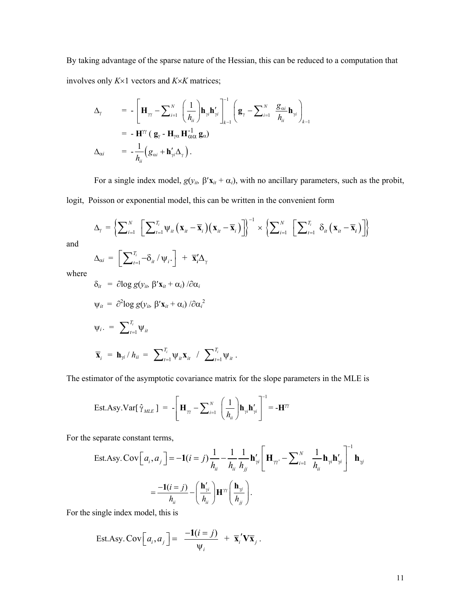By taking advantage of the sparse nature of the Hessian, this can be reduced to a computation that involves only *K*×1 vectors and *K*×*K* matrices;

$$
\Delta_{\gamma} = -\left[\mathbf{H}_{\gamma\gamma} - \sum_{i=1}^{N} \left(\frac{1}{h_{ii}}\right) \mathbf{h}_{\gamma i} \mathbf{h}_{\gamma i}' \right]_{k-1}^{-1} \left(\mathbf{g}_{\gamma} - \sum_{i=1}^{N} \frac{\mathbf{g}_{\alpha i}}{h_{ii}} \mathbf{h}_{\gamma i}\right)_{k-1}
$$
\n
$$
= -\mathbf{H}^{\gamma\gamma} \left(\mathbf{g}_{\gamma} - \mathbf{H}_{\gamma\alpha} \mathbf{H}_{\alpha\alpha}^{-1} \mathbf{g}_{\alpha}\right)
$$
\n
$$
\Delta_{\alpha i} = -\frac{1}{h_{ii}} \left(\mathbf{g}_{\alpha i} + \mathbf{h}_{\gamma i}' \Delta_{\gamma}\right).
$$

For a single index model,  $g(y_{it}, \beta' \mathbf{x}_{it} + \alpha_i)$ , with no ancillary parameters, such as the probit,

logit, Poisson or exponential model, this can be written in the convenient form

$$
\Delta_{\gamma} = \left\{ \sum_{i=1}^{N} \left[ \sum_{t=1}^{T_i} \Psi_{it} \left( \mathbf{x}_{it} - \overline{\mathbf{x}}_i \right) \left( \mathbf{x}_{it} - \overline{\mathbf{x}}_i \right) \right] \right\}^{-1} \times \left\{ \sum_{i=1}^{N} \left[ \sum_{t=1}^{T_i} \delta_{it} \left( \mathbf{x}_{it} - \overline{\mathbf{x}}_i \right) \right] \right\}
$$
  

$$
\Delta_{\alpha i} = \left[ \sum_{i=1}^{T_i} -\delta_{i} / \Psi_{i} \right] + \overline{\mathbf{x}}_i' \Delta_{\gamma}
$$

and

$$
\Delta_{\alpha i} = \left[ \sum_{t=1}^{T_i} -\delta_{it} / \psi_i \right] + \overline{\mathbf{x}}_i' \Delta_{\gamma}
$$

where

$$
\delta_{it} = \partial \log g(y_{ib} \beta' \mathbf{x}_{it} + \alpha_{i}) / \partial \alpha_{i}
$$
  

$$
\psi_{it} = \partial^{2} \log g(y_{ib} \beta' \mathbf{x}_{it} + \alpha_{i}) / \partial \alpha_{i}^{2}
$$
  

$$
\psi_{i}. = \sum_{t=1}^{T_{i}} \psi_{it}
$$
  

$$
\overline{\mathbf{x}}_{i} = \mathbf{h}_{\gamma i} / h_{ii} = \sum_{t=1}^{T_{i}} \psi_{it} \mathbf{x}_{it} / \sum_{t=1}^{T_{i}} \psi_{it}.
$$

The estimator of the asymptotic covariance matrix for the slope parameters in the MLE is

$$
\text{Est.Asy.} \text{Var}[\hat{\gamma}_{MLE}] = -\left[\mathbf{H}_{\gamma\gamma} - \sum_{i=1}^{N} \left(\frac{1}{h_{ii}}\right) \mathbf{h}_{\gamma i} \mathbf{h}_{\gamma i}'\right]^{-1} = -\mathbf{H}^{\gamma\gamma}
$$

For the separate constant terms,

Est. Asy. Cov
$$
\begin{bmatrix} a_i, a_j \end{bmatrix}
$$
 = -1(*i* = *j*) $\frac{1}{h_{ii}} - \frac{1}{h_{ii}} \frac{1}{h_{jj}} \mathbf{h}_{\gamma i}' \begin{bmatrix} \mathbf{H}_{\gamma i} - \sum_{i=1}^N \frac{1}{h_{ii}} \mathbf{h}_{\gamma i} \mathbf{h}_{\gamma i}' \end{bmatrix}^{-1} \mathbf{h}_{\gamma j}$   
=  $\frac{-1(i = j)}{h_{ii}} - \left(\frac{\mathbf{h}_{\gamma i}'}{h_{ii}}\right) \mathbf{H}^{\gamma i}' \begin{bmatrix} \mathbf{h}_{\gamma j} \\ \hline \mathbf{h}_{\gamma j} \end{bmatrix}$ .

For the single index model, this is

Est. Asy. Cov
$$
\left[a_i, a_j\right] = \frac{-1(i=j)}{\Psi_i} + \overline{\mathbf{x}}_i' \mathbf{V} \overline{\mathbf{x}}_j
$$
.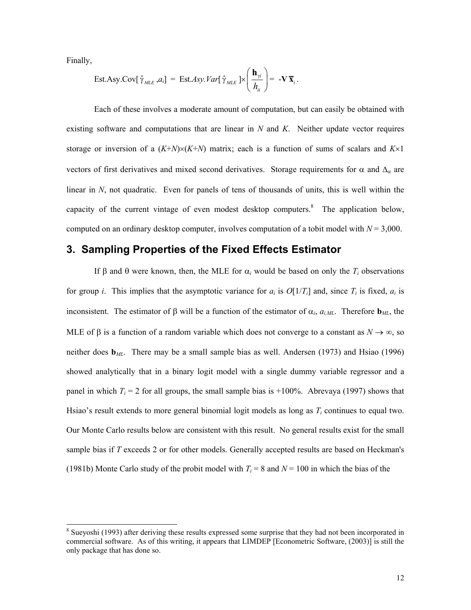Finally,

l

Est. Asy. Cov[
$$
\hat{\gamma}_{MLE}
$$
, $a_i$ ] = Est.Asy. Var[ $\hat{\gamma}_{MLE}$ ]× $\left(\frac{\mathbf{h}_{\gamma i}}{h_{ii}}\right)$  = -**V**  $\overline{\mathbf{x}}_i$ .

Each of these involves a moderate amount of computation, but can easily be obtained with existing software and computations that are linear in *N* and *K*. Neither update vector requires storage or inversion of a  $(K+N)\times(K+N)$  matrix; each is a function of sums of scalars and  $K\times 1$ vectors of first derivatives and mixed second derivatives. Storage requirements for  $\alpha$  and  $\Delta_{\alpha}$  are linear in *N*, not quadratic. Even for panels of tens of thousands of units, this is well within the capacity of the current vintage of even modest desktop computers.<sup>[8](#page-11-0)</sup> The application below, computed on an ordinary desktop computer, involves computation of a tobit model with *N* = 3,000.

### **3. Sampling Properties of the Fixed Effects Estimator**

If β and θ were known, then, the MLE for  $\alpha_i$  would be based on only the  $T_i$  observations for group *i*. This implies that the asymptotic variance for  $a_i$  is  $O[1/T_i]$  and, since  $T_i$  is fixed,  $a_i$  is inconsistent. The estimator of β will be a function of the estimator of  $\alpha_i$ ,  $a_{i,ML}$ . Therefore  $\mathbf{b}_{ML}$ , the MLE of β is a function of a random variable which does not converge to a constant as  $N \to \infty$ , so neither does **b***ML*. There may be a small sample bias as well. Andersen (1973) and Hsiao (1996) showed analytically that in a binary logit model with a single dummy variable regressor and a panel in which  $T_i = 2$  for all groups, the small sample bias is  $+100\%$ . Abrevaya (1997) shows that Hsiao's result extends to more general binomial logit models as long as *Ti* continues to equal two. Our Monte Carlo results below are consistent with this result. No general results exist for the small sample bias if *T* exceeds 2 or for other models. Generally accepted results are based on Heckman's (1981b) Monte Carlo study of the probit model with  $T_i = 8$  and  $N = 100$  in which the bias of the

<span id="page-11-0"></span><sup>&</sup>lt;sup>8</sup> Sueyoshi (1993) after deriving these results expressed some surprise that they had not been incorporated in commercial software. As of this writing, it appears that LIMDEP [Econometric Software, (2003)] is still the only package that has done so.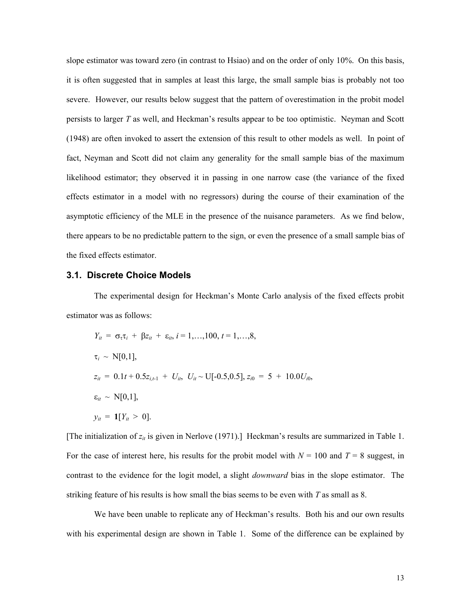slope estimator was toward zero (in contrast to Hsiao) and on the order of only 10%. On this basis, it is often suggested that in samples at least this large, the small sample bias is probably not too severe. However, our results below suggest that the pattern of overestimation in the probit model persists to larger *T* as well, and Heckman's results appear to be too optimistic. Neyman and Scott (1948) are often invoked to assert the extension of this result to other models as well. In point of fact, Neyman and Scott did not claim any generality for the small sample bias of the maximum likelihood estimator; they observed it in passing in one narrow case (the variance of the fixed effects estimator in a model with no regressors) during the course of their examination of the asymptotic efficiency of the MLE in the presence of the nuisance parameters. As we find below, there appears to be no predictable pattern to the sign, or even the presence of a small sample bias of the fixed effects estimator.

### **3.1. Discrete Choice Models**

The experimental design for Heckman's Monte Carlo analysis of the fixed effects probit estimator was as follows:

$$
Y_{it} = \sigma_{\tau}\tau_{i} + \beta z_{it} + \varepsilon_{it}, i = 1,...,100, t = 1,...,8,
$$
  
\n
$$
\tau_{i} \sim N[0,1],
$$
  
\n
$$
z_{it} = 0.1t + 0.5z_{i,t-1} + U_{it}, U_{it} \sim U[-0.5,0.5], z_{i0} = 5 + 10.0U_{i0},
$$
  
\n
$$
\varepsilon_{it} \sim N[0,1],
$$
  
\n
$$
y_{it} = \mathbf{1}[Y_{it} > 0].
$$

[The initialization of  $z_{it}$  is given in Nerlove (1971).] Heckman's results are summarized in Table 1. For the case of interest here, his results for the probit model with  $N = 100$  and  $T = 8$  suggest, in contrast to the evidence for the logit model, a slight *downward* bias in the slope estimator. The striking feature of his results is how small the bias seems to be even with *T* as small as 8.

We have been unable to replicate any of Heckman's results. Both his and our own results with his experimental design are shown in Table 1. Some of the difference can be explained by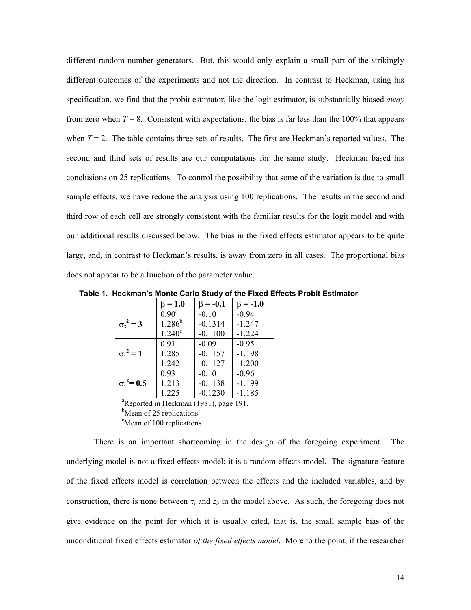different random number generators. But, this would only explain a small part of the strikingly different outcomes of the experiments and not the direction. In contrast to Heckman, using his specification, we find that the probit estimator, like the logit estimator, is substantially biased *away* from zero when  $T = 8$ . Consistent with expectations, the bias is far less than the 100% that appears when  $T = 2$ . The table contains three sets of results. The first are Heckman's reported values. The second and third sets of results are our computations for the same study. Heckman based his conclusions on 25 replications. To control the possibility that some of the variation is due to small sample effects, we have redone the analysis using 100 replications. The results in the second and third row of each cell are strongly consistent with the familiar results for the logit model and with our additional results discussed below. The bias in the fixed effects estimator appears to be quite large, and, in contrast to Heckman's results, is away from zero in all cases. The proportional bias does not appear to be a function of the parameter value.

 **Table 1. Heckman's Monte Carlo Study of the Fixed Effects Probit Estimator** 

|                                                    | $\beta = 1.0$     | $\beta = -0.1$ | $\beta = -1.0$ |  |  |  |
|----------------------------------------------------|-------------------|----------------|----------------|--|--|--|
|                                                    | $0.90^{\text{a}}$ | $-0.10$        | $-0.94$        |  |  |  |
| $\sigma_{\tau}^2 = 3$                              | $1.286^{b}$       | $-0.1314$      | $-1.247$       |  |  |  |
|                                                    | $1.240^c$         | $-0.1100$      | $-1.224$       |  |  |  |
|                                                    | 0.91              | $-0.09$        | $-0.95$        |  |  |  |
| $\sigma_{\tau}^2 = 1$                              | 1.285             | $-0.1157$      | $-1.198$       |  |  |  |
|                                                    | 1.242             | $-0.1127$      | $-1.200$       |  |  |  |
|                                                    | 0.93              | $-0.10$        | $-0.96$        |  |  |  |
| $\sigma_{\tau}^2$ = 0.5                            | 1.213             | $-0.1138$      | $-1.199$       |  |  |  |
|                                                    | 1.225             | $-0.1230$      | $-1.185$       |  |  |  |
| <sup>a</sup> Reported in Heckman (1981), page 191. |                   |                |                |  |  |  |

<sup>b</sup>Mean of 25 replications

<sup>c</sup>Mean of 100 replications

There is an important shortcoming in the design of the foregoing experiment. The underlying model is not a fixed effects model; it is a random effects model. The signature feature of the fixed effects model is correlation between the effects and the included variables, and by construction, there is none between  $\tau_i$  and  $z_i$  in the model above. As such, the foregoing does not give evidence on the point for which it is usually cited, that is, the small sample bias of the unconditional fixed effects estimator *of the fixed effects model*. More to the point, if the researcher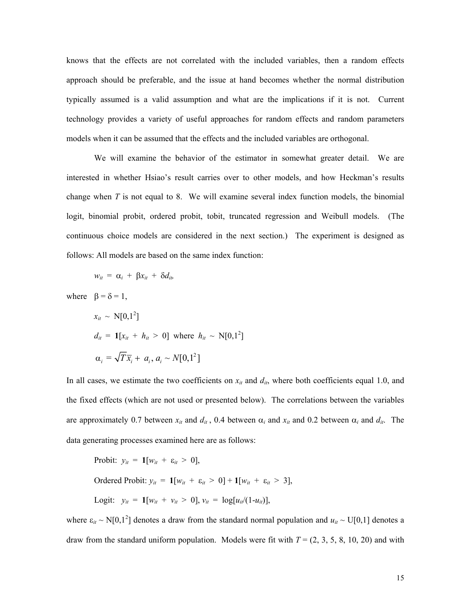knows that the effects are not correlated with the included variables, then a random effects approach should be preferable, and the issue at hand becomes whether the normal distribution typically assumed is a valid assumption and what are the implications if it is not. Current technology provides a variety of useful approaches for random effects and random parameters models when it can be assumed that the effects and the included variables are orthogonal.

We will examine the behavior of the estimator in somewhat greater detail. We are interested in whether Hsiao's result carries over to other models, and how Heckman's results change when *T* is not equal to 8. We will examine several index function models, the binomial logit, binomial probit, ordered probit, tobit, truncated regression and Weibull models. (The continuous choice models are considered in the next section.) The experiment is designed as follows: All models are based on the same index function:

$$
w_{it} = \alpha_i + \beta x_{it} + \delta d_{it}
$$

where  $\beta = \delta = 1$ ,

$$
x_{it} \sim N[0,1^2]
$$
  
\n
$$
d_{it} = \mathbf{1}[x_{it} + h_{it} > 0] \text{ where } h_{it} \sim N[0,1^2]
$$
  
\n
$$
\alpha_i = \sqrt{T}\overline{x}_i + a_i, a_i \sim N[0,1^2]
$$

In all cases, we estimate the two coefficients on  $x_{it}$  and  $d_{it}$ , where both coefficients equal 1.0, and the fixed effects (which are not used or presented below). The correlations between the variables are approximately 0.7 between  $x_{it}$  and  $d_{it}$ , 0.4 between  $\alpha_i$  and  $x_{it}$  and 0.2 between  $\alpha_i$  and  $d_{it}$ . The data generating processes examined here are as follows:

Profit: 
$$
y_{it} = \mathbf{1}[w_{it} + \varepsilon_{it} > 0],
$$

\nOrdered Profit:  $y_{it} = \mathbf{1}[w_{it} + \varepsilon_{it} > 0] + \mathbf{1}[w_{it} + \varepsilon_{it} > 3],$ 

\nLogit:  $y_{it} = \mathbf{1}[w_{it} + v_{it} > 0], v_{it} = \log[u_{it}/(1-u_{it})],$ 

where  $\varepsilon_{it} \sim N[0,1^2]$  denotes a draw from the standard normal population and  $u_{it} \sim U[0,1]$  denotes a draw from the standard uniform population. Models were fit with  $T = (2, 3, 5, 8, 10, 20)$  and with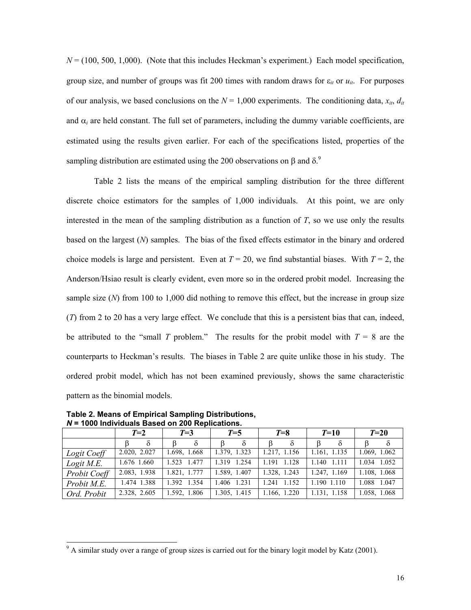$N = (100, 500, 1,000)$ . (Note that this includes Heckman's experiment.) Each model specification, group size, and number of groups was fit 200 times with random draws for  $\varepsilon_{it}$  or  $u_{it}$ . For purposes of our analysis, we based conclusions on the  $N = 1,000$  experiments. The conditioning data,  $x_{it}$ ,  $d_{it}$ and  $\alpha_i$  are held constant. The full set of parameters, including the dummy variable coefficients, are estimated using the results given earlier. For each of the specifications listed, properties of the sampling distribution are estimated using the 200 observations on  $\beta$  and  $\delta$ .<sup>[9](#page-15-0)</sup>

Table 2 lists the means of the empirical sampling distribution for the three different discrete choice estimators for the samples of 1,000 individuals. At this point, we are only interested in the mean of the sampling distribution as a function of *T*, so we use only the results based on the largest (*N*) samples. The bias of the fixed effects estimator in the binary and ordered choice models is large and persistent. Even at  $T = 20$ , we find substantial biases. With  $T = 2$ , the Anderson/Hsiao result is clearly evident, even more so in the ordered probit model. Increasing the sample size (*N*) from 100 to 1,000 did nothing to remove this effect, but the increase in group size (*T*) from 2 to 20 has a very large effect. We conclude that this is a persistent bias that can, indeed, be attributed to the "small *T* problem." The results for the probit model with  $T = 8$  are the counterparts to Heckman's results. The biases in Table 2 are quite unlike those in his study. The ordered probit model, which has not been examined previously, shows the same characteristic pattern as the binomial models.

|              | $T=2$        | $T=3$        | $T=5$            | $T=8$          | $T = 10$          | $T=20$       |  |
|--------------|--------------|--------------|------------------|----------------|-------------------|--------------|--|
|              |              |              |                  | δ              |                   |              |  |
| Logit Coeff  | 2.020, 2.027 | 1.698, 1.668 | 1.379, 1.323     | 1.217, 1.156   | 1.161, 1.135      | 1.069, 1.062 |  |
| Logit M.E.   | 1.676 1.660  | 1.523 1.477  | 1.254<br>1 3 1 9 | 1.191<br>1.128 | 1.140<br>$-1.111$ | 1.034 1.052  |  |
| Probit Coeff | 2.083, 1.938 | 1.821, 1.777 | 1.589, 1.407     | 1.328, 1.243   | 1.247, 1.169      | 1.108, 1.068 |  |
| Probit M.E.  | 1.474 1.388  | 1.392 1.354  | 1.406 1.231      | 1.241 1.152    | 1.190 1.110       | 1.088 1.047  |  |
| Ord. Probit  | 2.328, 2.605 | 1.592, 1.806 | 1.305, 1.415     | 1.166, 1.220   | 1.131, 1.158      | 1.058, 1.068 |  |

**Table 2. Means of Empirical Sampling Distributions,**  *N* **= 1000 Individuals Based on 200 Replications.** 

l

<span id="page-15-0"></span> $9<sup>9</sup>$  A similar study over a range of group sizes is carried out for the binary logit model by Katz (2001).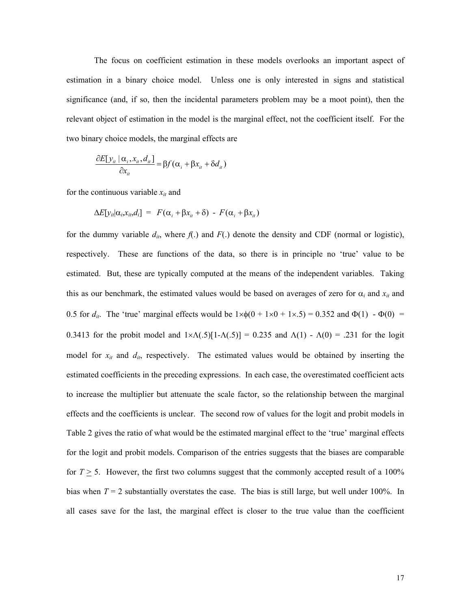The focus on coefficient estimation in these models overlooks an important aspect of estimation in a binary choice model. Unless one is only interested in signs and statistical significance (and, if so, then the incidental parameters problem may be a moot point), then the relevant object of estimation in the model is the marginal effect, not the coefficient itself. For the two binary choice models, the marginal effects are

$$
\frac{\partial E[y_{it} | \alpha_i, x_{it}, d_{it}]}{\partial x_{it}} = \beta f(\alpha_i + \beta x_{it} + \delta d_{it})
$$

for the continuous variable  $x_{it}$  and

$$
\Delta E[y_{it}|\alpha_i,x_{it},d_i] = F(\alpha_i + \beta x_{it} + \delta) - F(\alpha_i + \beta x_{it})
$$

for the dummy variable  $d_{it}$ , where  $f(.)$  and  $F(.)$  denote the density and CDF (normal or logistic), respectively. These are functions of the data, so there is in principle no 'true' value to be estimated. But, these are typically computed at the means of the independent variables. Taking this as our benchmark, the estimated values would be based on averages of zero for  $\alpha_i$  and  $x_{it}$  and 0.5 for  $d_{it}$ . The 'true' marginal effects would be  $1 \times \phi(0 + 1 \times 0 + 1 \times .5) = 0.352$  and  $\Phi(1) - \Phi(0) =$ 0.3413 for the probit model and  $1 \times \Lambda(.5)[1-\Lambda(.5)] = 0.235$  and  $\Lambda(1) - \Lambda(0) = .231$  for the logit model for  $x_{it}$  and  $d_{it}$ , respectively. The estimated values would be obtained by inserting the estimated coefficients in the preceding expressions. In each case, the overestimated coefficient acts to increase the multiplier but attenuate the scale factor, so the relationship between the marginal effects and the coefficients is unclear. The second row of values for the logit and probit models in Table 2 gives the ratio of what would be the estimated marginal effect to the 'true' marginal effects for the logit and probit models. Comparison of the entries suggests that the biases are comparable for  $T \geq 5$ . However, the first two columns suggest that the commonly accepted result of a 100% bias when  $T = 2$  substantially overstates the case. The bias is still large, but well under 100%. In all cases save for the last, the marginal effect is closer to the true value than the coefficient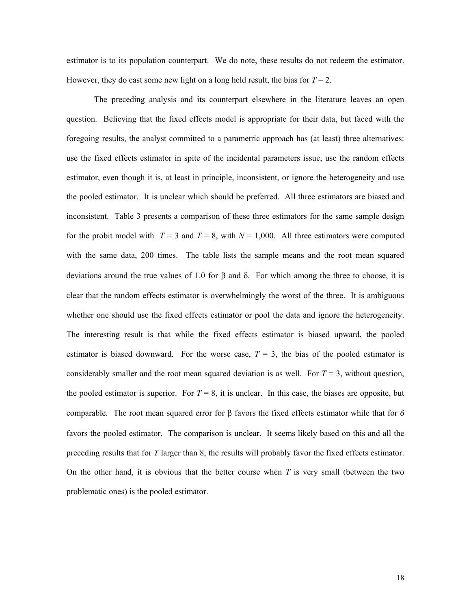estimator is to its population counterpart. We do note, these results do not redeem the estimator. However, they do cast some new light on a long held result, the bias for  $T = 2$ .

The preceding analysis and its counterpart elsewhere in the literature leaves an open question. Believing that the fixed effects model is appropriate for their data, but faced with the foregoing results, the analyst committed to a parametric approach has (at least) three alternatives: use the fixed effects estimator in spite of the incidental parameters issue, use the random effects estimator, even though it is, at least in principle, inconsistent, or ignore the heterogeneity and use the pooled estimator. It is unclear which should be preferred. All three estimators are biased and inconsistent. Table 3 presents a comparison of these three estimators for the same sample design for the probit model with  $T = 3$  and  $T = 8$ , with  $N = 1,000$ . All three estimators were computed with the same data, 200 times. The table lists the sample means and the root mean squared deviations around the true values of 1.0 for  $\beta$  and  $\delta$ . For which among the three to choose, it is clear that the random effects estimator is overwhelmingly the worst of the three. It is ambiguous whether one should use the fixed effects estimator or pool the data and ignore the heterogeneity. The interesting result is that while the fixed effects estimator is biased upward, the pooled estimator is biased downward. For the worse case,  $T = 3$ , the bias of the pooled estimator is considerably smaller and the root mean squared deviation is as well. For  $T = 3$ , without question, the pooled estimator is superior. For  $T = 8$ , it is unclear. In this case, the biases are opposite, but comparable. The root mean squared error for β favors the fixed effects estimator while that for δ favors the pooled estimator. The comparison is unclear. It seems likely based on this and all the preceding results that for *T* larger than 8, the results will probably favor the fixed effects estimator. On the other hand, it is obvious that the better course when *T* is very small (between the two problematic ones) is the pooled estimator.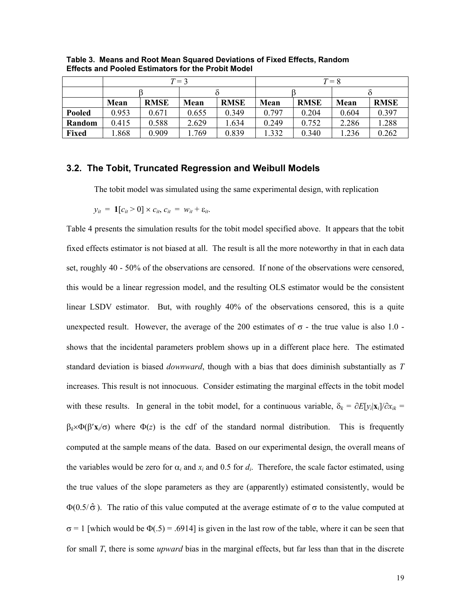|               | $T=3$ |             |       |             | $T = 8$ |             |       |             |
|---------------|-------|-------------|-------|-------------|---------|-------------|-------|-------------|
|               |       |             |       |             |         |             |       |             |
|               | Mean  | <b>RMSE</b> | Mean  | <b>RMSE</b> | Mean    | <b>RMSE</b> | Mean  | <b>RMSE</b> |
| <b>Pooled</b> | 0.953 | 0.671       | 0.655 | 0.349       | 0.797   | 0.204       | 0.604 | 0.397       |
| Random        | 0.415 | 0.588       | 2.629 | .634        | 0.249   | 0.752       | 2.286 | 1.288       |
| Fixed         | 1.868 | 0.909       | .769  | 0.839       | 1.332   | 0.340       | .236  | 0.262       |

**Table 3. Means and Root Mean Squared Deviations of Fixed Effects, Random Effects and Pooled Estimators for the Probit Model**

#### **3.2. The Tobit, Truncated Regression and Weibull Models**

The tobit model was simulated using the same experimental design, with replication

$$
y_{it} = \mathbf{1}[c_{it} > 0] \times c_{it}, c_{it} = w_{it} + \varepsilon_{it}.
$$

Table 4 presents the simulation results for the tobit model specified above. It appears that the tobit fixed effects estimator is not biased at all. The result is all the more noteworthy in that in each data set, roughly 40 - 50% of the observations are censored. If none of the observations were censored, this would be a linear regression model, and the resulting OLS estimator would be the consistent linear LSDV estimator. But, with roughly 40% of the observations censored, this is a quite unexpected result. However, the average of the 200 estimates of  $\sigma$  - the true value is also 1.0 shows that the incidental parameters problem shows up in a different place here. The estimated standard deviation is biased *downward*, though with a bias that does diminish substantially as *T* increases. This result is not innocuous. Consider estimating the marginal effects in the tobit model with these results. In general in the tobit model, for a continuous variable,  $\delta_k = \partial E[y_i|\mathbf{x}_i]/\partial x_{ik}$  $\beta_k \times \Phi(\beta' \mathbf{x}/\sigma)$  where  $\Phi(z)$  is the cdf of the standard normal distribution. This is frequently computed at the sample means of the data. Based on our experimental design, the overall means of the variables would be zero for  $\alpha_i$  and  $x_i$  and 0.5 for  $d_i$ . Therefore, the scale factor estimated, using the true values of the slope parameters as they are (apparently) estimated consistently, would be  $\Phi(0.5/\hat{\sigma})$ . The ratio of this value computed at the average estimate of  $\sigma$  to the value computed at  $\sigma$  = 1 [which would be  $\Phi(.5)$  = .6914] is given in the last row of the table, where it can be seen that for small *T*, there is some *upward* bias in the marginal effects, but far less than that in the discrete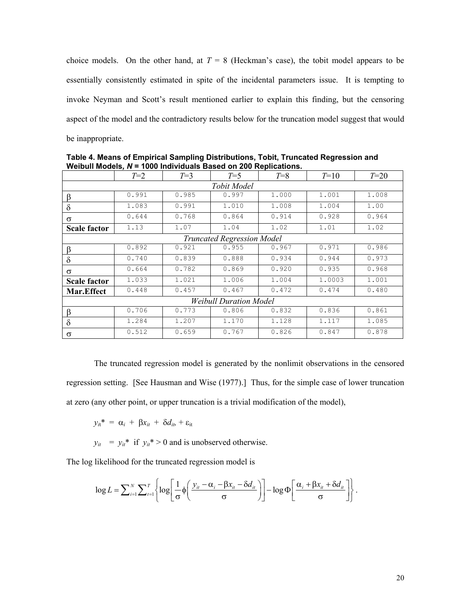choice models. On the other hand, at  $T = 8$  (Heckman's case), the tobit model appears to be essentially consistently estimated in spite of the incidental parameters issue. It is tempting to invoke Neyman and Scott's result mentioned earlier to explain this finding, but the censoring aspect of the model and the contradictory results below for the truncation model suggest that would be inappropriate.

|                                   | $T=2$ | $T=3$ | $T=5$ | $T=8$ | $T=10$ | $T=20$ |  |  |
|-----------------------------------|-------|-------|-------|-------|--------|--------|--|--|
| <b>Tobit Model</b>                |       |       |       |       |        |        |  |  |
| β                                 | 0.991 | 0.985 | 0.997 | 1,000 | 1.001  | 1.008  |  |  |
| $\delta$                          | 1.083 | 0.991 | 1.010 | 1.008 | 1.004  | 1.00   |  |  |
| $\sigma$                          | 0.644 | 0.768 | 0.864 | 0.914 | 0.928  | 0.964  |  |  |
| <b>Scale factor</b>               | 1.13  | 1.07  | 1.04  | 1.02  | 1.01   | 1.02   |  |  |
| <b>Truncated Regression Model</b> |       |       |       |       |        |        |  |  |
| β                                 | 0.892 | 0.921 | 0.955 | 0.967 | 0.971  | 0.986  |  |  |
| $\delta$                          | 0.740 | 0.839 | 0.888 | 0.934 | 0.944  | 0.973  |  |  |
| $\sigma$                          | 0.664 | 0.782 | 0.869 | 0.920 | 0.935  | 0.968  |  |  |
| <b>Scale factor</b>               | 1.033 | 1.021 | 1.006 | 1.004 | 1,0003 | 1.001  |  |  |
| Mar.Effect                        | 0.448 | 0.457 | 0.467 | 0.472 | 0.474  | 0.480  |  |  |
| <b>Weibull Duration Model</b>     |       |       |       |       |        |        |  |  |
| β                                 | 0.706 | 0.773 | 0.806 | 0.832 | 0.836  | 0.861  |  |  |
| $\delta$                          | 1.284 | 1.207 | 1.170 | 1.128 | 1.117  | 1.085  |  |  |
| σ                                 | 0.512 | 0.659 | 0.767 | 0.826 | 0.847  | 0.878  |  |  |

**Table 4. Means of Empirical Sampling Distributions, Tobit, Truncated Regression and Weibull Models***, N* **= 1000 Individuals Based on 200 Replications.** 

The truncated regression model is generated by the nonlimit observations in the censored regression setting. [See Hausman and Wise (1977).] Thus, for the simple case of lower truncation at zero (any other point, or upper truncation is a trivial modification of the model),

$$
y_{it}^* = \alpha_i + \beta x_{it} + \delta d_{it} + \varepsilon_{it}
$$

 $y_{it}$  =  $y_{it}$ <sup>\*</sup> if  $y_{it}$ <sup>\*</sup> > 0 and is unobserved otherwise.

The log likelihood for the truncated regression model is

$$
\log L = \sum_{i=1}^{N} \sum_{t=1}^{T} \left\{ \log \left[ \frac{1}{\sigma} \phi \left( \frac{y_{it} - \alpha_i - \beta x_{it} - \delta d_{it}}{\sigma} \right) \right] - \log \Phi \left[ \frac{\alpha_i + \beta x_{it} + \delta d_{it}}{\sigma} \right] \right\}.
$$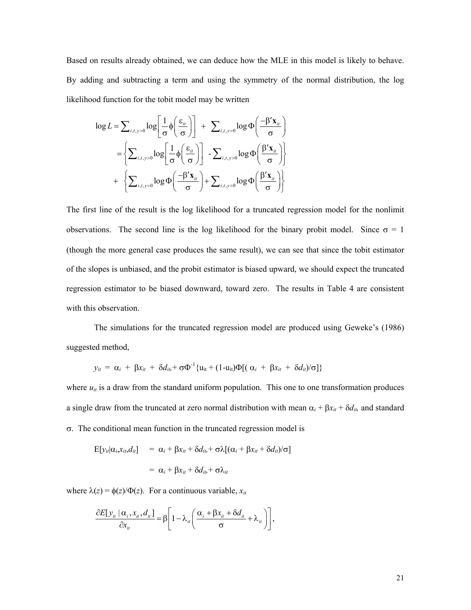Based on results already obtained, we can deduce how the MLE in this model is likely to behave. By adding and subtracting a term and using the symmetry of the normal distribution, the log likelihood function for the tobit model may be written

$$
\log L = \sum_{i,t,y>0} \log \left[ \frac{1}{\sigma} \phi \left( \frac{\varepsilon_{it}}{\sigma} \right) \right] + \sum_{i,t,y=0} \log \Phi \left( \frac{-\beta' \mathbf{x}_{it}}{\sigma} \right)
$$

$$
= \left\{ \sum_{i,t,y>0} \log \left[ \frac{1}{\sigma} \phi \left( \frac{\varepsilon_{it}}{\sigma} \right) \right] - \sum_{i,t,y>0} \log \Phi \left( \frac{\beta' \mathbf{x}_{it}}{\sigma} \right) \right\}
$$

$$
+ \left\{ \sum_{i,t,y=0} \log \Phi \left( \frac{-\beta' \mathbf{x}_{it}}{\sigma} \right) + \sum_{i,t,y>0} \log \Phi \left( \frac{\beta' \mathbf{x}_{it}}{\sigma} \right) \right\}
$$

The first line of the result is the log likelihood for a truncated regression model for the nonlimit observations. The second line is the log likelihood for the binary probit model. Since  $\sigma = 1$ (though the more general case produces the same result), we can see that since the tobit estimator of the slopes is unbiased, and the probit estimator is biased upward, we should expect the truncated regression estimator to be biased downward, toward zero. The results in Table 4 are consistent with this observation.

The simulations for the truncated regression model are produced using Geweke's (1986) suggested method,

$$
y_{it} = \alpha_i + \beta x_{it} + \delta d_{it} + \sigma \Phi^{-1} \{ u_{it} + (1 - u_{it}) \Phi[(\alpha_i + \beta x_{it} + \delta d_{it})/\sigma] \}
$$

where  $u_{it}$  is a draw from the standard uniform population. This one to one transformation produces a single draw from the truncated at zero normal distribution with mean  $\alpha_i + \beta x_{it} + \delta d_{it}$ , and standard σ. The conditional mean function in the truncated regression model is

$$
E[y_{it}|\alpha_i, x_{it}, d_{it}] = \alpha_i + \beta x_{it} + \delta d_{it} + \sigma \lambda [(\alpha_i + \beta x_{it} + \delta d_{it})/\sigma]
$$
  
=  $\alpha_i + \beta x_{it} + \delta d_{it} + \sigma \lambda_{it}$ 

where  $\lambda(z) = \phi(z)/\Phi(z)$ . For a continuous variable,  $x_{it}$ 

$$
\frac{\partial E[y_{it} | \alpha_i, x_{it}, d_{it}]}{\partial x_{it}} = \beta \left[ 1 - \lambda_{it} \left( \frac{\alpha_i + \beta x_{it} + \delta d_{it}}{\sigma} + \lambda_{it} \right) \right],
$$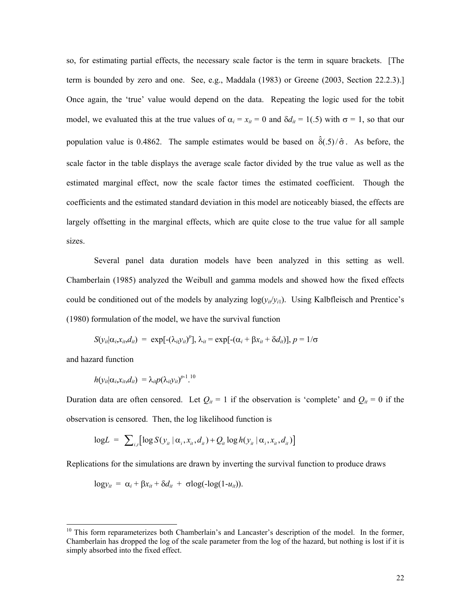so, for estimating partial effects, the necessary scale factor is the term in square brackets. [The term is bounded by zero and one. See, e.g., Maddala (1983) or Greene (2003, Section 22.2.3).] Once again, the 'true' value would depend on the data. Repeating the logic used for the tobit model, we evaluated this at the true values of  $\alpha_i = x_{it} = 0$  and  $\delta d_{it} = 1(0.5)$  with  $\sigma = 1$ , so that our population value is 0.4862. The sample estimates would be based on  $\hat{\delta}(.5)/\hat{\sigma}$ . As before, the scale factor in the table displays the average scale factor divided by the true value as well as the estimated marginal effect, now the scale factor times the estimated coefficient. Though the coefficients and the estimated standard deviation in this model are noticeably biased, the effects are largely offsetting in the marginal effects, which are quite close to the true value for all sample sizes.

Several panel data duration models have been analyzed in this setting as well. Chamberlain (1985) analyzed the Weibull and gamma models and showed how the fixed effects could be conditioned out of the models by analyzing  $log(y_i/y_i)$ . Using Kalbfleisch and Prentice's (1980) formulation of the model, we have the survival function

$$
S(y_{it}|\alpha_i,x_{it},d_{it}) = \exp[-(\lambda_{it}y_{it})^p], \lambda_{it} = \exp[-(\alpha_i + \beta x_{it} + \delta d_{it})], p = 1/\sigma
$$

and hazard function

l

$$
h(y_{it}|\alpha_i,x_{it},d_{it}) = \lambda_{it}p(\lambda_{it}y_{it})^{p-1}.
$$

Duration data are often censored. Let  $Q_{it} = 1$  if the observation is 'complete' and  $Q_{it} = 0$  if the observation is censored. Then, the log likelihood function is

$$
\text{log}L = \sum_{i,t} \left[ \log S(y_{ii} \mid \alpha_i, x_{it}, d_{it}) + Q_{it} \log h(y_{it} \mid \alpha_i, x_{it}, d_{it}) \right]
$$

Replications for the simulations are drawn by inverting the survival function to produce draws

$$
\log y_{it} = \alpha_i + \beta x_{it} + \delta d_{it} + \sigma \log(-\log(1 - u_{it})).
$$

<span id="page-21-0"></span><sup>&</sup>lt;sup>10</sup> This form reparameterizes both Chamberlain's and Lancaster's description of the model. In the former, Chamberlain has dropped the log of the scale parameter from the log of the hazard, but nothing is lost if it is simply absorbed into the fixed effect.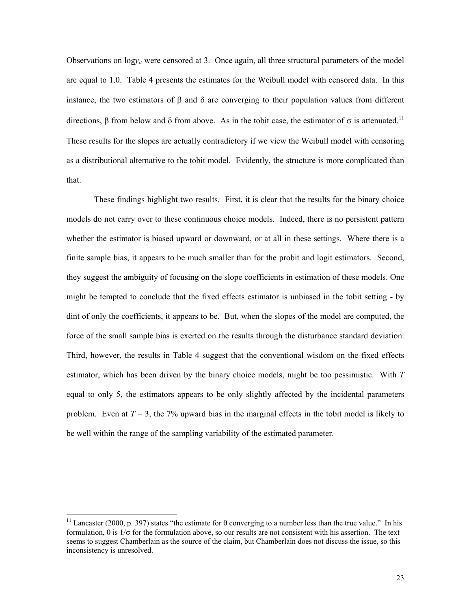Observations on  $\log y_i$  were censored at 3. Once again, all three structural parameters of the model are equal to 1.0. Table 4 presents the estimates for the Weibull model with censored data. In this instance, the two estimators of β and δ are converging to their population values from different directions, β from below and δ from above. As in the tobit case, the estimator of  $\sigma$  is attenuated.<sup>11</sup> These results for the slopes are actually contradictory if we view the Weibull model with censoring as a distributional alternative to the tobit model. Evidently, the structure is more complicated than that.

These findings highlight two results. First, it is clear that the results for the binary choice models do not carry over to these continuous choice models. Indeed, there is no persistent pattern whether the estimator is biased upward or downward, or at all in these settings. Where there is a finite sample bias, it appears to be much smaller than for the probit and logit estimators. Second, they suggest the ambiguity of focusing on the slope coefficients in estimation of these models. One might be tempted to conclude that the fixed effects estimator is unbiased in the tobit setting - by dint of only the coefficients, it appears to be. But, when the slopes of the model are computed, the force of the small sample bias is exerted on the results through the disturbance standard deviation. Third, however, the results in Table 4 suggest that the conventional wisdom on the fixed effects estimator, which has been driven by the binary choice models, might be too pessimistic. With *T* equal to only 5, the estimators appears to be only slightly affected by the incidental parameters problem. Even at  $T = 3$ , the 7% upward bias in the marginal effects in the tobit model is likely to be well within the range of the sampling variability of the estimated parameter.

l

<span id="page-22-0"></span><sup>&</sup>lt;sup>11</sup> Lancaster (2000, p. 397) states "the estimate for  $\theta$  converging to a number less than the true value." In his formulation, θ is 1/σ for the formulation above, so our results are not consistent with his assertion. The text seems to suggest Chamberlain as the source of the claim, but Chamberlain does not discuss the issue, so this inconsistency is unresolved.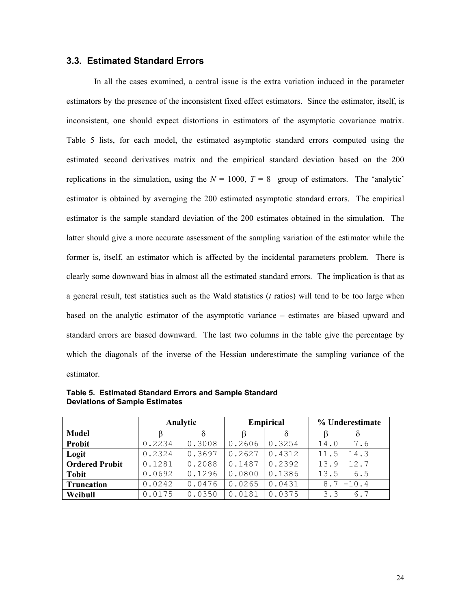### **3.3. Estimated Standard Errors**

In all the cases examined, a central issue is the extra variation induced in the parameter estimators by the presence of the inconsistent fixed effect estimators. Since the estimator, itself, is inconsistent, one should expect distortions in estimators of the asymptotic covariance matrix. Table 5 lists, for each model, the estimated asymptotic standard errors computed using the estimated second derivatives matrix and the empirical standard deviation based on the 200 replications in the simulation, using the  $N = 1000$ ,  $T = 8$  group of estimators. The 'analytic' estimator is obtained by averaging the 200 estimated asymptotic standard errors. The empirical estimator is the sample standard deviation of the 200 estimates obtained in the simulation. The latter should give a more accurate assessment of the sampling variation of the estimator while the former is, itself, an estimator which is affected by the incidental parameters problem. There is clearly some downward bias in almost all the estimated standard errors. The implication is that as a general result, test statistics such as the Wald statistics (*t* ratios) will tend to be too large when based on the analytic estimator of the asymptotic variance – estimates are biased upward and standard errors are biased downward. The last two columns in the table give the percentage by which the diagonals of the inverse of the Hessian underestimate the sampling variance of the estimator.

|                       | Analytic |        |        | <b>Empirical</b> | % Underestimate |  |
|-----------------------|----------|--------|--------|------------------|-----------------|--|
| <b>Model</b>          |          | δ      |        | δ                | $\delta$        |  |
| Probit                | 0.2234   | 0.3008 | 0.2606 | 0.3254           | 14.0<br>7.6     |  |
| Logit                 | 0.2324   | 0.3697 | 0.2627 | 0.4312           | 11.5<br>14.3    |  |
| <b>Ordered Probit</b> | 0.1281   | 0.2088 | 0.1487 | 0.2392           | 12.7<br>13.9    |  |
| <b>Tobit</b>          | 0.0692   | 0.1296 | 0.0800 | 0.1386           | 13.5<br>6.5     |  |
| <b>Truncation</b>     | 0.0242   | 0.0476 | 0.0265 | 0.0431           | $-10.4$<br>8.7  |  |
| Weibull               | 0.0175   | 0.0350 | 0.0181 | 0.0375           | 3.3<br>6.7      |  |

**Table 5. Estimated Standard Errors and Sample Standard Deviations of Sample Estimates**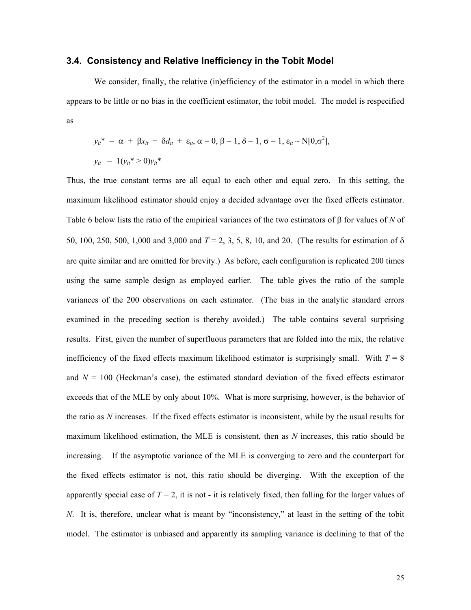#### **3.4. Consistency and Relative Inefficiency in the Tobit Model**

We consider, finally, the relative (in)efficiency of the estimator in a model in which there appears to be little or no bias in the coefficient estimator, the tobit model. The model is respecified as

$$
y_{ii}^* = \alpha + \beta x_{it} + \delta d_{it} + \varepsilon_{it}, \alpha = 0, \beta = 1, \delta = 1, \sigma = 1, \varepsilon_{it} \sim N[0, \sigma^2],
$$
  

$$
y_{it} = 1(y_{it}^* > 0)y_{it}^*
$$

Thus, the true constant terms are all equal to each other and equal zero. In this setting, the maximum likelihood estimator should enjoy a decided advantage over the fixed effects estimator. Table 6 below lists the ratio of the empirical variances of the two estimators of β for values of *N* of 50, 100, 250, 500, 1,000 and 3,000 and *T* = 2, 3, 5, 8, 10, and 20. (The results for estimation of δ are quite similar and are omitted for brevity.) As before, each configuration is replicated 200 times using the same sample design as employed earlier. The table gives the ratio of the sample variances of the 200 observations on each estimator. (The bias in the analytic standard errors examined in the preceding section is thereby avoided.) The table contains several surprising results. First, given the number of superfluous parameters that are folded into the mix, the relative inefficiency of the fixed effects maximum likelihood estimator is surprisingly small. With  $T = 8$ and  $N = 100$  (Heckman's case), the estimated standard deviation of the fixed effects estimator exceeds that of the MLE by only about 10%. What is more surprising, however, is the behavior of the ratio as *N* increases. If the fixed effects estimator is inconsistent, while by the usual results for maximum likelihood estimation, the MLE is consistent, then as *N* increases, this ratio should be increasing. If the asymptotic variance of the MLE is converging to zero and the counterpart for the fixed effects estimator is not, this ratio should be diverging. With the exception of the apparently special case of  $T = 2$ , it is not - it is relatively fixed, then falling for the larger values of *N*. It is, therefore, unclear what is meant by "inconsistency," at least in the setting of the tobit model. The estimator is unbiased and apparently its sampling variance is declining to that of the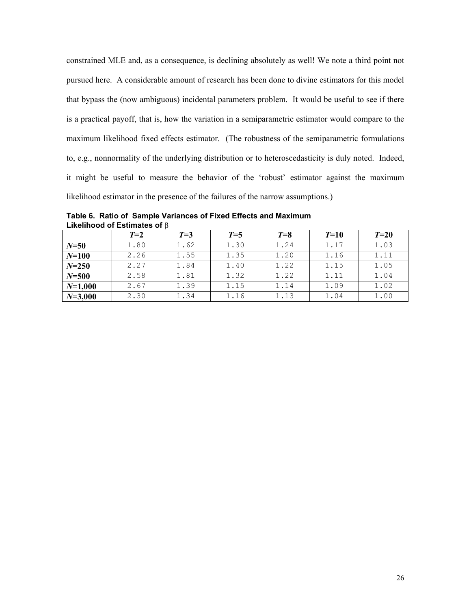constrained MLE and, as a consequence, is declining absolutely as well! We note a third point not pursued here. A considerable amount of research has been done to divine estimators for this model that bypass the (now ambiguous) incidental parameters problem. It would be useful to see if there is a practical payoff, that is, how the variation in a semiparametric estimator would compare to the maximum likelihood fixed effects estimator. (The robustness of the semiparametric formulations to, e.g., nonnormality of the underlying distribution or to heteroscedasticity is duly noted. Indeed, it might be useful to measure the behavior of the 'robust' estimator against the maximum likelihood estimator in the presence of the failures of the narrow assumptions.)

**Table 6. Ratio of Sample Variances of Fixed Effects and Maximum Likelihood of Estimates of** β

|             | $T=2$ | $T=3$ | $T=5$ | $T=8$ | $T=10$ | $T=20$ |
|-------------|-------|-------|-------|-------|--------|--------|
| $N = 50$    | 1.80  | 1.62  | 1.30  | 1.24  | 1.17   | 1.03   |
| $N = 100$   | 2.26  | 1.55  | 1.35  | 1.20  | 1.16   | 1.11   |
| $N = 250$   | 2.27  | 1.84  | 1.40  | 1.22  | 1.15   | 1.05   |
| $N = 500$   | 2.58  | 1.81  | 1.32  | 1.22  | 1.11   | 1.04   |
| $N=1,000$   | 2.67  | 1.39  | 1.15  | 1.14  | 1.09   | 1.02   |
| $N = 3,000$ | 2.30  | 1.34  | 1.16  | 1.13  | 1.04   | 1.00   |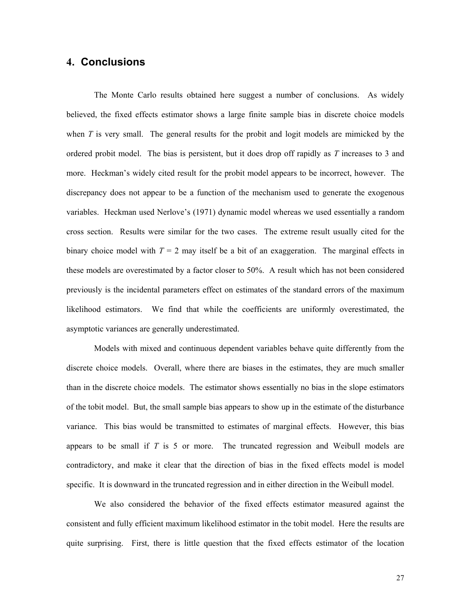## **4. Conclusions**

The Monte Carlo results obtained here suggest a number of conclusions. As widely believed, the fixed effects estimator shows a large finite sample bias in discrete choice models when *T* is very small. The general results for the probit and logit models are mimicked by the ordered probit model. The bias is persistent, but it does drop off rapidly as *T* increases to 3 and more. Heckman's widely cited result for the probit model appears to be incorrect, however. The discrepancy does not appear to be a function of the mechanism used to generate the exogenous variables. Heckman used Nerlove's (1971) dynamic model whereas we used essentially a random cross section. Results were similar for the two cases. The extreme result usually cited for the binary choice model with  $T = 2$  may itself be a bit of an exaggeration. The marginal effects in these models are overestimated by a factor closer to 50%. A result which has not been considered previously is the incidental parameters effect on estimates of the standard errors of the maximum likelihood estimators. We find that while the coefficients are uniformly overestimated, the asymptotic variances are generally underestimated.

Models with mixed and continuous dependent variables behave quite differently from the discrete choice models. Overall, where there are biases in the estimates, they are much smaller than in the discrete choice models. The estimator shows essentially no bias in the slope estimators of the tobit model. But, the small sample bias appears to show up in the estimate of the disturbance variance. This bias would be transmitted to estimates of marginal effects. However, this bias appears to be small if *T* is 5 or more. The truncated regression and Weibull models are contradictory, and make it clear that the direction of bias in the fixed effects model is model specific. It is downward in the truncated regression and in either direction in the Weibull model.

We also considered the behavior of the fixed effects estimator measured against the consistent and fully efficient maximum likelihood estimator in the tobit model. Here the results are quite surprising. First, there is little question that the fixed effects estimator of the location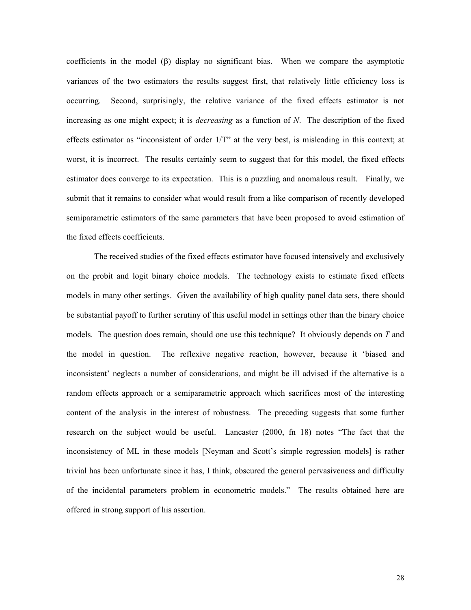coefficients in the model (β) display no significant bias. When we compare the asymptotic variances of the two estimators the results suggest first, that relatively little efficiency loss is occurring. Second, surprisingly, the relative variance of the fixed effects estimator is not increasing as one might expect; it is *decreasing* as a function of *N*. The description of the fixed effects estimator as "inconsistent of order 1/T" at the very best, is misleading in this context; at worst, it is incorrect. The results certainly seem to suggest that for this model, the fixed effects estimator does converge to its expectation. This is a puzzling and anomalous result. Finally, we submit that it remains to consider what would result from a like comparison of recently developed semiparametric estimators of the same parameters that have been proposed to avoid estimation of the fixed effects coefficients.

The received studies of the fixed effects estimator have focused intensively and exclusively on the probit and logit binary choice models. The technology exists to estimate fixed effects models in many other settings. Given the availability of high quality panel data sets, there should be substantial payoff to further scrutiny of this useful model in settings other than the binary choice models. The question does remain, should one use this technique? It obviously depends on *T* and the model in question. The reflexive negative reaction, however, because it 'biased and inconsistent' neglects a number of considerations, and might be ill advised if the alternative is a random effects approach or a semiparametric approach which sacrifices most of the interesting content of the analysis in the interest of robustness. The preceding suggests that some further research on the subject would be useful. Lancaster (2000, fn 18) notes "The fact that the inconsistency of ML in these models [Neyman and Scott's simple regression models] is rather trivial has been unfortunate since it has, I think, obscured the general pervasiveness and difficulty of the incidental parameters problem in econometric models." The results obtained here are offered in strong support of his assertion.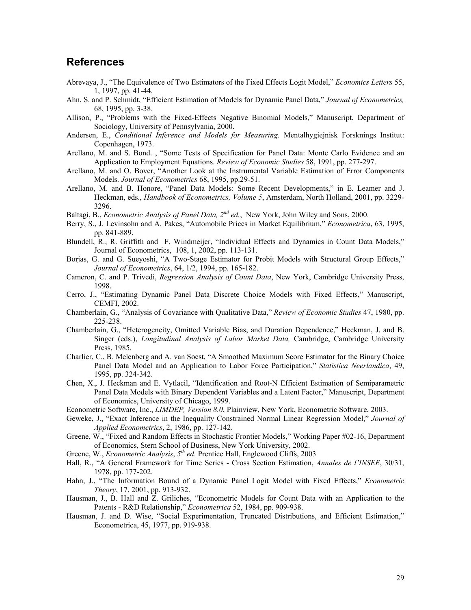## **References**

- Abrevaya, J., "The Equivalence of Two Estimators of the Fixed Effects Logit Model," *Economics Letters* 55, 1, 1997, pp. 41-44.
- Ahn, S. and P. Schmidt, "Efficient Estimation of Models for Dynamic Panel Data," *Journal of Econometrics,* 68, 1995, pp. 3-38.
- Allison, P., "Problems with the Fixed-Effects Negative Binomial Models," Manuscript, Department of Sociology, University of Pennsylvania, 2000.
- Andersen, E., *Conditional Inference and Models for Measuring.* Mentalhygiejnisk Forsknings Institut: Copenhagen, 1973.
- Arellano, M. and S. Bond. , "Some Tests of Specification for Panel Data: Monte Carlo Evidence and an Application to Employment Equations. *Review of Economic Studies* 58, 1991, pp. 277-297.
- Arellano, M. and O. Bover, "Another Look at the Instrumental Variable Estimation of Error Components Models. *Journal of Econometrics* 68, 1995, pp.29-51.
- Arellano, M. and B. Honore, "Panel Data Models: Some Recent Developments," in E. Leamer and J. Heckman, eds., *Handbook of Econometrics, Volume 5*, Amsterdam, North Holland, 2001, pp. 3229- 3296.
- Baltagi, B., *Econometric Analysis of Panel Data, 2nd ed.*, New York, John Wiley and Sons, 2000.
- Berry, S., J. Levinsohn and A. Pakes, "Automobile Prices in Market Equilibrium," *Econometrica*, 63, 1995, pp. 841-889.
- Blundell, R., R. Griffith and F. Windmeijer, "Individual Effects and Dynamics in Count Data Models," Journal of Econometrics, 108, 1, 2002, pp. 113-131.
- Borjas, G. and G. Sueyoshi, "A Two-Stage Estimator for Probit Models with Structural Group Effects," *Journal of Econometrics*, 64, 1/2, 1994, pp. 165-182.
- Cameron, C. and P. Trivedi, *Regression Analysis of Count Data*, New York, Cambridge University Press, 1998.
- Cerro, J., "Estimating Dynamic Panel Data Discrete Choice Models with Fixed Effects," Manuscript, CEMFI, 2002.
- Chamberlain, G., "Analysis of Covariance with Qualitative Data," *Review of Economic Studies* 47, 1980, pp. 225-238.
- Chamberlain, G., "Heterogeneity, Omitted Variable Bias, and Duration Dependence," Heckman, J. and B. Singer (eds.), *Longitudinal Analysis of Labor Market Data,* Cambridge, Cambridge University Press, 1985.
- Charlier, C., B. Melenberg and A. van Soest, "A Smoothed Maximum Score Estimator for the Binary Choice Panel Data Model and an Application to Labor Force Participation," *Statistica Neerlandica*, 49, 1995, pp. 324-342.
- Chen, X., J. Heckman and E. Vytlacil, "Identification and Root-N Efficient Estimation of Semiparametric Panel Data Models with Binary Dependent Variables and a Latent Factor," Manuscript, Department of Economics, University of Chicago, 1999.
- Econometric Software, Inc., *LIMDEP, Version 8.0*, Plainview, New York, Econometric Software, 2003.
- Geweke, J., "Exact Inference in the Inequality Constrained Normal Linear Regression Model," *Journal of Applied Econometrics*, 2, 1986, pp. 127-142.
- Greene, W., "Fixed and Random Effects in Stochastic Frontier Models," Working Paper #02-16, Department of Economics, Stern School of Business, New York University, 2002.
- Greene, W., *Econometric Analysis*, *5th ed*. Prentice Hall, Englewood Cliffs, 2003
- Hall, R., "A General Framework for Time Series Cross Section Estimation, *Annales de l'INSEE*, 30/31, 1978, pp. 177-202.
- Hahn, J., "The Information Bound of a Dynamic Panel Logit Model with Fixed Effects," *Econometric Theory*, 17, 2001, pp. 913-932.
- Hausman, J., B. Hall and Z. Griliches, "Econometric Models for Count Data with an Application to the Patents - R&D Relationship," *Econometrica* 52, 1984, pp. 909-938.
- Hausman, J. and D. Wise, "Social Experimentation, Truncated Distributions, and Efficient Estimation," Econometrica, 45, 1977, pp. 919-938.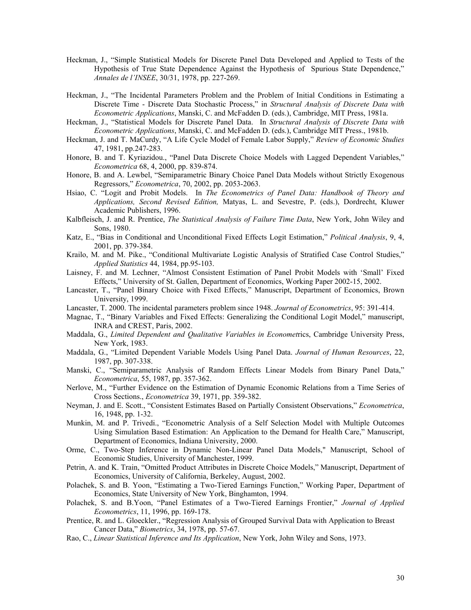- Heckman, J., "Simple Statistical Models for Discrete Panel Data Developed and Applied to Tests of the Hypothesis of True State Dependence Against the Hypothesis of Spurious State Dependence," *Annales de l'INSEE*, 30/31, 1978, pp. 227-269.
- Heckman, J., "The Incidental Parameters Problem and the Problem of Initial Conditions in Estimating a Discrete Time - Discrete Data Stochastic Process," in *Structural Analysis of Discrete Data with Econometric Applications*, Manski, C. and McFadden D. (eds.), Cambridge, MIT Press, 1981a.
- Heckman, J., "Statistical Models for Discrete Panel Data. In *Structural Analysis of Discrete Data with Econometric Applications*, Manski, C. and McFadden D. (eds.), Cambridge MIT Press., 1981b.
- Heckman, J. and T. MaCurdy, "A Life Cycle Model of Female Labor Supply," *Review of Economic Studies* 47, 1981, pp.247-283.
- Honore, B. and T. Kyriazidou., "Panel Data Discrete Choice Models with Lagged Dependent Variables," *Econometrica* 68, 4, 2000, pp. 839-874.
- Honore, B. and A. Lewbel, "Semiparametric Binary Choice Panel Data Models without Strictly Exogenous Regressors," *Econometrica*, 70, 2002, pp. 2053-2063.
- Hsiao, C. "Logit and Probit Models. In *The Econometrics of Panel Data: Handbook of Theory and Applications, Second Revised Edition,* Matyas, L. and Sevestre, P. (eds.), Dordrecht, Kluwer Academic Publishers, 1996.
- Kalbfleisch, J. and R. Prentice, *The Statistical Analysis of Failure Time Data*, New York, John Wiley and Sons, 1980.
- Katz, E., "Bias in Conditional and Unconditional Fixed Effects Logit Estimation," *Political Analysis*, 9, 4, 2001, pp. 379-384.
- Krailo, M. and M. Pike., "Conditional Multivariate Logistic Analysis of Stratified Case Control Studies," *Applied Statistics* 44, 1984, pp.95-103.
- Laisney, F. and M. Lechner, "Almost Consistent Estimation of Panel Probit Models with 'Small' Fixed Effects," University of St. Gallen, Department of Economics, Working Paper 2002-15, 2002.
- Lancaster, T., "Panel Binary Choice with Fixed Effects," Manuscript, Department of Economics, Brown University, 1999.
- Lancaster, T. 2000. The incidental parameters problem since 1948. *Journal of Econometrics*, 95: 391-414.
- Magnac, T., "Binary Variables and Fixed Effects: Generalizing the Conditional Logit Model," manuscript, INRA and CREST, Paris, 2002.
- Maddala, G., *Limited Dependent and Qualitative Variables in Economet*rics, Cambridge University Press, New York, 1983.
- Maddala, G., "Limited Dependent Variable Models Using Panel Data. *Journal of Human Resources*, 22, 1987, pp. 307-338.
- Manski, C., "Semiparametric Analysis of Random Effects Linear Models from Binary Panel Data," *Econometrica*, 55, 1987, pp. 357-362.
- Nerlove, M., "Further Evidence on the Estimation of Dynamic Economic Relations from a Time Series of Cross Sections., *Econometrica* 39, 1971, pp. 359-382.
- Neyman, J. and E. Scott., "Consistent Estimates Based on Partially Consistent Observations," *Econometrica*, 16, 1948, pp. 1-32.
- Munkin, M. and P. Trivedi., "Econometric Analysis of a Self Selection Model with Multiple Outcomes Using Simulation Based Estimation: An Application to the Demand for Health Care," Manuscript, Department of Economics, Indiana University, 2000.
- Orme, C., Two-Step Inference in Dynamic Non-Linear Panel Data Models," Manuscript, School of Economic Studies, University of Manchester, 1999.
- Petrin, A. and K. Train, "Omitted Product Attributes in Discrete Choice Models," Manuscript, Department of Economics, University of California, Berkeley, August, 2002.
- Polachek, S. and B. Yoon, "Estimating a Two-Tiered Earnings Function," Working Paper, Department of Economics, State University of New York, Binghamton, 1994.
- Polachek, S. and B.Yoon, "Panel Estimates of a Two-Tiered Earnings Frontier," *Journal of Applied Econometrics*, 11, 1996, pp. 169-178.
- Prentice, R. and L. Gloeckler., "Regression Analysis of Grouped Survival Data with Application to Breast Cancer Data," *Biometrics*, 34, 1978, pp. 57-67.
- Rao, C., *Linear Statistical Inference and Its Application*, New York, John Wiley and Sons, 1973.